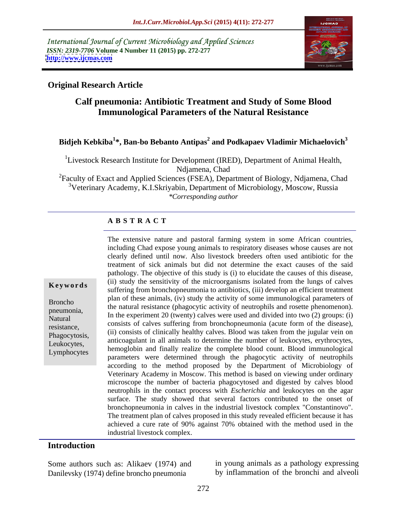International Journal of Current Microbiology and Applied Sciences *ISSN: 2319-7706* **Volume 4 Number 11 (2015) pp. 272-277 <http://www.ijcmas.com>**



#### **Original Research Article**

## **Calf pneumonia: Antibiotic Treatment and Study of Some Blood Immunological Parameters of the Natural Resistance**

### **Bidjeh Kebkiba<sup>1</sup> \*, Ban-bo Bebanto Antipas<sup>2</sup> and Podkapaev Vladimir Michaelovich<sup>3</sup>**

<sup>1</sup>Livestock Research Institute for Development (IRED), Department of Animal Health, Ndjamena, Chad

<sup>2</sup>Faculty of Exact and Applied Sciences (FSEA), Department of Biology, Ndjamena, Chad <sup>3</sup>Veterinary Academy, K.I.Skriyabin, Department of Microbiology, Moscow, Russia *\*Corresponding author*

#### **A B S T R A C T**

Lymphocytes

The extensive nature and pastoral farming system in some African countries, including Chad expose young animals to respiratory diseases whose causes are not clearly defined until now. Also livestock breeders often used antibiotic for the treatment of sick animals but did not determine the exact causes of the said pathology. The objective of this study is (i) to elucidate the causes of this disease, (ii) study the sensitivity of the microorganisms isolated from the lungs of calves **Keywords** (ii) study the sensitivity of the inicroorganisms isolated from the fungs of carves suffering from bronchopneumonia to antibiotics, (iii) develop an efficient treatment plan of these animals, (iv) study the activity of some immunological parameters of the natural resistance (phagocytic activity of neutrophils and rosette phenomenon).<br>
In the experiment 20 (twenty) calves were used and divided into two (2) groups: (i) Natural in the experiment 20 (twenty) carves were used and divided into two (2) groups. (1)<br>resistence resistance,<br>
(ii) consists of clinically healthy calves. Blood was taken from the jugular vein on Phagocytosis,<br>
I outcoard in all animals to determine the number of leukocytes, erythrocytes, Phagocytosis, Leukocytes,<br>
Leukocytes, hemoglobin and finally realize the complete blood count. Blood immunological parameters were determined through the phagocytic activity of neutrophils according to the method proposed by the Department of Microbiology of Veterinary Academy in Moscow. This method is based on viewing under ordinary microscope the number of bacteria phagocytosed and digested by calves blood neutrophils in the contact process with *Escherichia* and leukocytes on the agar surface. The study showed that several factors contributed to the onset of bronchopneumonia in calves in the industrial livestock complex "Constantinovo". The treatment plan of calves proposed in this study revealed efficient because it has achieved a cure rate of 90% against 70% obtained with the method used in the industrial livestock complex. Broncho plan of these animals, (iv) study the activity of some minimum great parameters of<br>the natural resistance (phagocytic activity of neutrophils and rosette phenomenon).

#### **Introduction**

Some authors such as: Alikaev (1974) and Danilevsky (1974) define broncho pneumonia

in young animals as a pathology expressing by inflammation of the bronchi and alveoli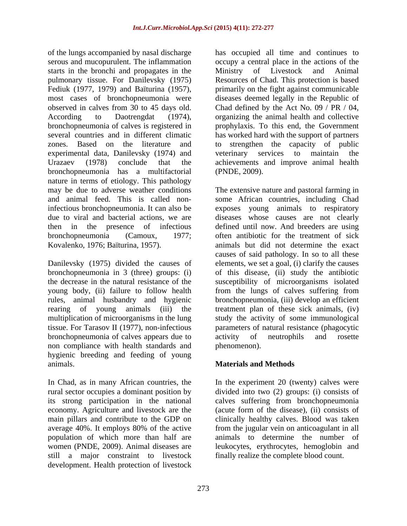of the lungs accompanied by nasal discharge has occupied all time and continues to serous and mucopurulent. The inflammation starts in the bronchi and propagates in the Ministry of Livestock and Animal pulmonary tissue. For Danilevsky (1975) Resources of Chad. This protection is based Fediuk (1977, 1979) and Baïturina (1957), primarily on the fight against communicable most cases of bronchopneumonia were observed in calves from 30 to 45 days old. Chad defined by the Act No. 09 / PR / 04, According to Daotrengdat (1974), organizing the animal health and collective bronchopneumonia of calves is registered in prophylaxis. To this end, the Government several countries and in different climatic has worked hard with the support of partners zones. Based on the literature and to strengthen the capacity of public experimental data, Danilevsky (1974) and veterinary services to maintain the Urazaev (1978) conclude that the achievements and improve animal health bronchopneumonia has a multifactorial nature in terms of etiology. This pathology

bronchopneumonia of calves appears due to non compliance with health standards and hygienic breeding and feeding of young animals. **Materials and Methods**

In Chad, as in many African countries, the In the experiment 20 (twenty) calves were rural sector occupies a dominant position by divided into two (2) groups: (i) consists of its strong participation in the national calves suffering from bronchopneumonia economy. Agriculture and livestock are the (acute form of the disease), (ii) consists of main pillars and contribute to the GDP on clinically healthy calves. Blood was taken average 40%. It employs 80% of the active population of which more than half are women (PNDE, 2009). Animal diseases are still a major constraint to livestock development. Health protection of livestock

occupy a central place in the actions of the Ministry of Livestock and Animal diseases deemed legally in the Republic of veterinary services to maintain the (PNDE, 2009).

may be due to adverse weather conditions The extensive nature and pastoral farming in and animal feed. This is called non-some African countries, including Chad infectious bronchopneumonia. It can also be exposes young animals to respiratory due to viral and bacterial actions, we are diseases whose causes are not clearly then in the presence of infectious defined until now. And breeders are using bronchopneumonia (Camoux, 1977; often antibiotic for the treatment of sick Kovalenko, 1976; Baïturina, 1957). animals but did not determine the exact Danilevsky (1975) divided the causes of elements, we set a goal, (i) clarify the causes bronchopneumonia in 3 (three) groups: (i) of this disease, (ii) study the antibiotic the decrease in the natural resistance of the susceptibility of microorganisms isolated young body, (ii) failure to follow health from the lungs of calves suffering from rules, animal husbandry and hygienic bronchopneumonia, (iii) develop an efficient rearing of young animals (iii) the treatment plan of these sick animals, (iv) multiplication of microorganisms in the lung study the activity of some immunological tissue. For Tarasov II (1977), non-infectious parameters of natural resistance (phagocytic causes of said pathology. In so to all these activity of neutrophils and rosette phenomenon).

from the jugular vein on anticoagulant in all animals to determine the number of leukocytes, erythrocytes, hemoglobin and finally realize the complete blood count.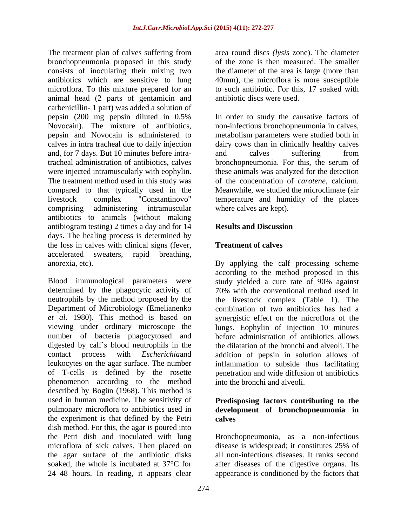The treatment plan of calves suffering from bronchopneumonia proposed in this study consists of inoculating their mixing two the diameter of the area is large (more than antibiotics which are sensitive to lung 40mm), the microflora is more susceptible microflora. To this mixture prepared for an animal head (2 parts of gentamicin and carbenicillin- 1 part) was added a solution of pepsin (200 mg pepsin diluted in 0.5% In order to study the causative factors of Novocain). The mixture of antibiotics, non-infectious bronchopneumonia in calves, pepsin and Novocain is administered to metabolism parameters were studied both in calves in intra tracheal due to daily injection dairy cows than in clinically healthy calves and, for 7 days. But 10 minutes before intratracheal administration of antibiotics, calves bronchopneumonia. For this, the serum of were injected intramuscularly with eophylin. these animals was analyzed for the detection The treatment method used in this study was compared to that typically used in the livestock complex "Constantinovo" temperature and humidity of the places comprising administering intramuscular antibiotics to animals (without making antibiogram testing) 2 times a day and for 14 days. The healing process is determined by the loss in calves with clinical signs (fever, accelerated sweaters, rapid breathing,

Blood immunological parameters were study yielded a cure rate of 90% against determined by the phagocytic activity of 70% with the conventional method used in neutrophils by the method proposed by the the livestock complex (Table 1). The Department of Microbiology (Emelianenko *et al.* 1980). This method is based on synergistic effect on the microflora of the viewing under ordinary microscope the lungs. Eophylin of injection 10 minutes number of bacteria phagocytosed and before administration of antibiotics allows digested by calf's blood neutrophils in the contact process with *Escherichia*and addition of pepsin in solution allows of leukocytes on the agar surface. The number inflammation to subside thus facilitating of T-cells is defined by the rosette penetration and wide diffusion of antibiotics phenomenon according to the method described by Bogün (1968). This method is used in human medicine. The sensitivity of **Predisposing factors contributing to the** pulmonary microflora to antibiotics used in **development of bronchopneumonia in** the experiment is that defined by the Petri dish method. For this, the agar is poured into the Petri dish and inoculated with lung Bronchopneumonia, as a non-infectious microflora of sick calves. Then placed on disease is widespread; it constitutes 25% of the agar surface of the antibiotic disks all non-infectious diseases. It ranks second soaked, the whole is incubated at 37°C for after diseases of the digestive organs. Its 24 48 hours. In reading, it appears clear

area round discs *(lysis* zone). The diameter of the zone is then measured. The smaller to such antibiotic. For this, 17 soaked with antibiotic discs were used.

and calves suffering from of the concentration of *carotene,* calcium. Meanwhile, we studied the microclimate (air where calves are kept).

#### **Results and Discussion**

### **Treatment of calves**

anorexia, etc). By applying the calf processing scheme according to the method proposed in this combination of two antibiotics has had a the dilatation of the bronchi and alveoli. The into the bronchi and alveoli.

# **calves**

appearance is conditioned by the factors that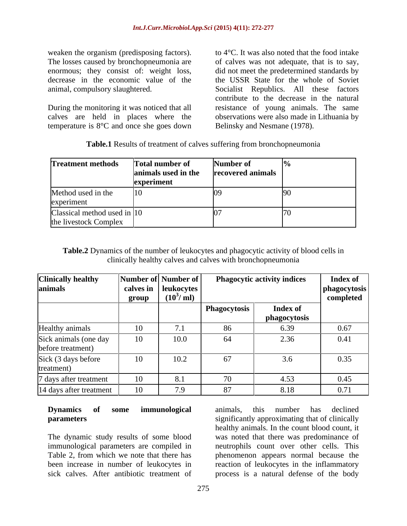weaken the organism (predisposing factors). The losses caused by bronchopneumonia are enormous; they consist of: weight loss,

temperature is 8°C and once she goes down

decrease in the economic value of the the USSR State for the whole of Soviet animal, compulsory slaughtered. Socialist Republics. All these factors During the monitoring it was noticed that all resistance of young animals. The same calves are held in places where the observations were also made in Lithuania by to 4°C. It was also noted that the food intake of calves was not adequate, that is to say, did not meet the predetermined standards by contribute to the decrease in the natural Belinsky and Nesmane (1978).

| Table.<br>$\mathbf{D}$<br><b>Results</b><br>; of treatment of d<br>t calves suffering from l<br>bronchopneumonia ا |  |
|--------------------------------------------------------------------------------------------------------------------|--|
|--------------------------------------------------------------------------------------------------------------------|--|

| Treatment methods Total number of Number of          |            |                                                               |  |
|------------------------------------------------------|------------|---------------------------------------------------------------|--|
|                                                      |            | $\left  \text{animals used in the} \right $ recovered animals |  |
|                                                      | experiment |                                                               |  |
| Method used in the<br>experiment                     |            |                                                               |  |
| Classical method used in 10<br>the livestock Complex |            |                                                               |  |

**Table.2** Dynamics of the number of leukocytes and phagocytic activity of blood cells in clinically healthy calves and calves with bronchopneumonia

| <b>Clinically healthy</b><br>animals       | Number of Number of<br>calves in $ $ leukocytes $ $<br>$(10^3/\,\text{ml})$<br>group |      |              | <b>Phagocytic activity indices</b> | <b>Index of</b><br>phagocytosis<br>completed |
|--------------------------------------------|--------------------------------------------------------------------------------------|------|--------------|------------------------------------|----------------------------------------------|
|                                            |                                                                                      |      | Phagocytosis | <b>Index of</b><br>phagocytosis    |                                              |
| Healthy animals                            | 10                                                                                   |      | 86           | 6.39                               | 0.67                                         |
| Sick animals (one day<br>before treatment) | 10                                                                                   | 10.0 |              | 2.36                               | 0.41                                         |
| Sick (3 days before<br>treatment)          | 10                                                                                   | 10.2 |              | 3.6                                | 0.35                                         |
| 7 days after treatment                     | 10                                                                                   | 8.1  |              | 4.53                               | 0.45                                         |
| 14 days after treatment                    |                                                                                      | 7.9  |              | 8.18                               | 0.71                                         |

## **Dynamics of some immunological**

The dynamic study results of some blood was noted that there was predominance of immunological parameters are compiled in neutrophils count over other cells. This Table 2, from which we note that there has phenomenon appears normal because the been increase in number of leukocytes in ereaction of leukocytes in the inflammatory

**parameters parameters significantly approximating that of clinically** sick calves. After antibiotic treatment of process is a natural defense of the bodyanimals, this number has declined healthy animals. In the count blood count, it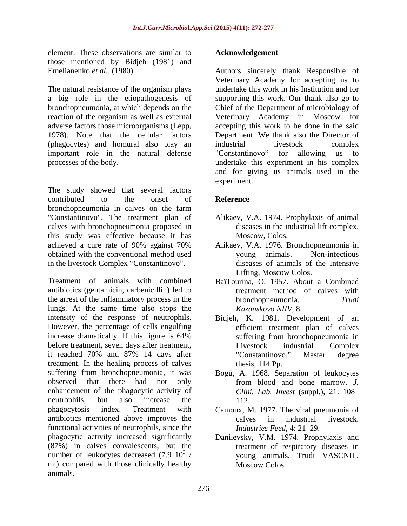element. These observations are similar to those mentioned by Bidjeh (1981) and

The natural resistance of the organism plays (phagocytes) and homural also play an important role in the natural defense "Constantinovo" for allowing us to

The study showed that several factors contributed to the onset of **Reference** bronchopneumonia in calves on the farm "Constantinovo". The treatment plan of calves with bronchopneumonia proposed in this study was effective because it has achieved a cure rate of 90% against 70% achieved a cure rate of 90% against 70% obtained with the conventional method used in the livestock Complex "Constantinovo".

Treatment of animals with combined BaïTourina, O. 1957. About a Combined antibiotics (gentamicin, carbenicillin) led to the arrest of the inflammatory process in the the bronchopheumonia. Trudi lungs. At the same time also stops the intensity of the response of neutrophils. Bidjeh, K. 1981. Development of an However, the percentage of cells engulfing increase dramatically. If this figure is  $64\%$  suffering from bronchopneumonia in before treatment, seven days after treatment, <br>Livestock industrial Complex it reached 70% and 87% 14 days after treatment. In the healing process of calves suffering from bronchopneumonia, it was Bogü, A. 1968. Separation of leukocytes observed that there had not only from blood and bone marrow. J. enhancement of the phagocytic activity of neutrophils, but also increase the 112. phagocytosis index. Treatment with Camoux, M. 1977. The viral pneumonia of antibiotics mentioned above improves the functional activities of neutrophils, since the *Industries Feed.* 4: 21–29. phagocytic activity increased significantly Danilevsky, V.M. 1974. Prophylaxis and (87%) in calves convalescents, but the number of leukocytes decreased  $(7.9 \t10^3)$ ml) compared with those clinically healthy animals.

#### **Acknowledgement**

Emelianenko *et al.,* (1980). Authors sincerely thank Responsible of a big role in the etiopathogenesis of supporting this work. Our thank also go to bronchopneumonia, at which depends on the Chief of the Department of microbiology of reaction of the organism as well as external Veterinary Academy in Moscow for adverse factors those microorganisms (Lepp, accepting this work to be done in the said 1978). Note that the cellular factors Department. We thank also the Director of processes of the body. undertake this experiment in his complex Veterinary Academy for accepting us to undertake this work in his Institution and for industrial livestock complex "Constantinovo" for allowing us to and for giving us animals used in the experiment.

#### **Reference**

- Alikaev, V.A. 1974. Prophylaxis of animal diseases in the industrial lift complex. Moscow, Colos.
- Alikaev, V.A. 1976. Bronchopneumonia in young animals. Non-infectious diseases of animals of the Intensive Lifting, Moscow Colos.
- treatment method of calves with bronchopneumonia. *Kazanskovo NIIV,* 8.
- efficient treatment plan of calves suffering from bronchopneumonia in Livestock industrial Complex "Constantinovo." Master degree thesis, 114 Pp.
- from blood and bone marrow. *J. Clini. Lab. Invest* (suppl.), 21: 108 112.
- calves in industrial livestock. *Industries Feed, 4: 21–29.*
- <sup>3</sup>/ young animals. Trudi VASCNIL, treatment of respiratory diseases in Moscow Colos.